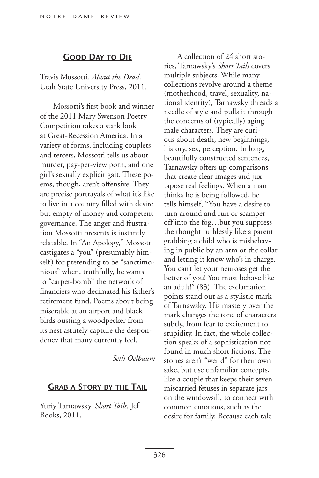## **Good Day to Die**

Travis Mossotti. *About the Dead*. Utah State University Press, 2011.

Mossotti's first book and winner of the 2011 Mary Swenson Poetry Competition takes a stark look at Great-Recession America. In a variety of forms, including couplets and tercets, Mossotti tells us about murder, pay-per-view porn, and one girl's sexually explicit gait. These poems, though, aren't offensive. They are precise portrayals of what it's like to live in a country filled with desire but empty of money and competent governance. The anger and frustration Mossotti presents is instantly relatable. In "An Apology," Mossotti castigates a "you" (presumably himself) for pretending to be "sanctimonious" when, truthfully, he wants to "carpet-bomb" the network of financiers who decimated his father's retirement fund. Poems about being miserable at an airport and black birds ousting a woodpecker from its nest astutely capture the despondency that many currently feel.

*—Seth Oelbaum*

## **Grab a Story by the Tail**

Yuriy Tarnawsky. *Short Tails.* Jef Books, 2011.

A collection of 24 short stories, Tarnawsky's *Short Tails* covers multiple subjects. While many collections revolve around a theme (motherhood, travel, sexuality, national identity), Tarnawsky threads a needle of style and pulls it through the concerns of (typically) aging male characters. They are curious about death, new beginnings, history, sex, perception. In long, beautifully constructed sentences, Tarnawsky offers up comparisons that create clear images and juxtapose real feelings. When a man thinks he is being followed, he tells himself, "You have a desire to turn around and run or scamper off into the fog…but you suppress the thought ruthlessly like a parent grabbing a child who is misbehaving in public by an arm or the collar and letting it know who's in charge. You can't let your neuroses get the better of you! You must behave like an adult!" (83). The exclamation points stand out as a stylistic mark of Tarnawsky. His mastery over the mark changes the tone of characters subtly, from fear to excitement to stupidity. In fact, the whole collection speaks of a sophistication not found in much short fictions. The stories aren't "weird" for their own sake, but use unfamiliar concepts, like a couple that keeps their seven miscarried fetuses in separate jars on the windowsill, to connect with common emotions, such as the desire for family. Because each tale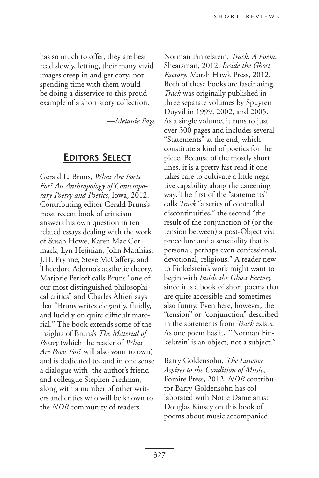has so much to offer, they are best read slowly, letting, their many vivid images creep in and get cozy; not spending time with them would be doing a disservice to this proud example of a short story collection.

*—Melanie Page*

## **Editors Select**

Gerald L. Bruns, *What Are Poets For? An Anthropology of Contemporary Poetry and Poetics*, Iowa, 2012. Contributing editor Gerald Bruns's most recent book of criticism answers his own question in ten related essays dealing with the work of Susan Howe, Karen Mac Cormack, Lyn Hejinian, John Matthias, J.H. Prynne, Steve McCaffery, and Theodore Adorno's aesthetic theory. Marjorie Perloff calls Bruns "one of our most distinguished philosophical critics" and Charles Altieri says that "Bruns writes elegantly, fluidly, and lucidly on quite difficult material." The book extends some of the insights of Bruns's *The Material of Poetry* (which the reader of *What Are Poets For*? will also want to own) and is dedicated to, and in one sense a dialogue with, the author's friend and colleague Stephen Fredman, along with a number of other writers and critics who will be known to the *NDR* community of readers.

Norman Finkelstein, *Track: A Poem*, Shearsman, 2012; *Inside the Ghost Factory*, Marsh Hawk Press, 2012. Both of these books are fascinating. *Track* was originally published in three separate volumes by Spuyten Duyvil in 1999, 2002, and 2005. As a single volume, it runs to just over 300 pages and includes several "Statements" at the end, which constitute a kind of poetics for the piece. Because of the mostly short lines, it is a pretty fast read if one takes care to cultivate a little negative capability along the careening way. The first of the "statements" calls *Track* "a series of controlled discontinuities," the second "the result of the conjunction of (or the tension between) a post-Objectivist procedure and a sensibility that is personal, perhaps even confessional, devotional, religious." A reader new to Finkelstein's work might want to begin with *Inside the Ghost Factory* since it is a book of short poems that are quite accessible and sometimes also funny. Even here, however, the "tension" or "conjunction" described in the statements from *Track* exists. As one poem has it, "'Norman Finkelstein' is an object, not a subject."

Barry Goldensohn, *The Listener Aspires to the Condition of Music*, Fomite Press, 2012. *NDR* contributor Barry Goldensohn has collaborated with Notre Dame artist Douglas Kinsey on this book of poems about music accompanied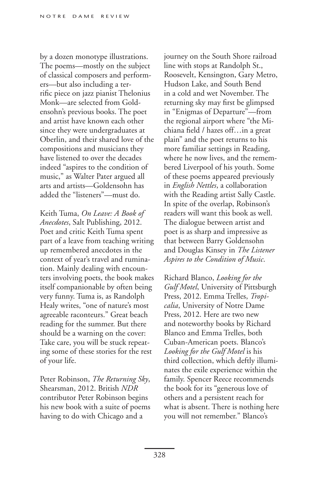by a dozen monotype illustrations. The poems—mostly on the subject of classical composers and performers—but also including a terrific piece on jazz pianist Thelonius Monk—are selected from Goldensohn's previous books. The poet and artist have known each other since they were undergraduates at Oberlin, and their shared love of the compositions and musicians they have listened to over the decades indeed "aspires to the condition of music," as Walter Pater argued all arts and artists—Goldensohn has added the "listeners"—must do.

Keith Tuma, *On Leave: A Book of Anecdotes*, Salt Publishing, 2012. Poet and critic Keith Tuma spent part of a leave from teaching writing up remembered anecdotes in the context of year's travel and rumination. Mainly dealing with encounters involving poets, the book makes itself companionable by often being very funny. Tuma is, as Randolph Healy writes, "one of nature's most agreeable raconteurs." Great beach reading for the summer. But there should be a warning on the cover: Take care, you will be stuck repeating some of these stories for the rest of your life.

Peter Robinson, *The Returning Sky*, Shearsman, 2012. British *NDR* contributor Peter Robinson begins his new book with a suite of poems having to do with Chicago and a

journey on the South Shore railroad line with stops at Randolph St., Roosevelt, Kensington, Gary Metro, Hudson Lake, and South Bend in a cold and wet November. The returning sky may first be glimpsed in "Enigmas of Departure"—from the regional airport where "the Michiana field / hazes off…in a great plain" and the poet returns to his more familiar settings in Reading, where he now lives, and the remembered Liverpool of his youth. Some of these poems appeared previously in *English Nettles*, a collaboration with the Reading artist Sally Castle. In spite of the overlap, Robinson's readers will want this book as well. The dialogue between artist and poet is as sharp and impressive as that between Barry Goldensohn and Douglas Kinsey in *The Listener Aspires to the Condition of Music*.

Richard Blanco, *Looking for the Gulf Motel*, University of Pittsburgh Press, 2012. Emma Trelles, *Tropicalia*, University of Notre Dame Press, 2012. Here are two new and noteworthy books by Richard Blanco and Emma Trelles, both Cuban-American poets. Blanco's *Looking for the Gulf Motel* is his third collection, which deftly illuminates the exile experience within the family. Spencer Reece recommends the book for its "generous love of others and a persistent reach for what is absent. There is nothing here you will not remember." Blanco's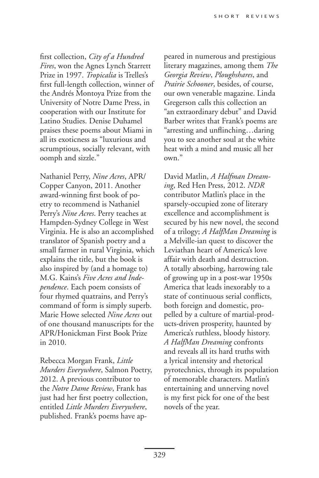first collection, *City of a Hundred Fires*, won the Agnes Lynch Starrett Prize in 1997. *Tropicalia* is Trelles's first full-length collection, winner of the Andrés Montoya Prize from the University of Notre Dame Press, in cooperation with our Institute for Latino Studies. Denise Duhamel praises these poems about Miami in all its exoticness as "luxurious and scrumptious, socially relevant, with oomph and sizzle."

Nathaniel Perry, *Nine Acres*, APR/ Copper Canyon, 2011. Another award-winning first book of poetry to recommend is Nathaniel Perry's *Nine Acres*. Perry teaches at Hampden-Sydney College in West Virginia. He is also an accomplished translator of Spanish poetry and a small farmer in rural Virginia, which explains the title, but the book is also inspired by (and a homage to) M.G. Kains's *Five Acres and Independence*. Each poem consists of four rhymed quatrains, and Perry's command of form is simply superb. Marie Howe selected *Nine Acres* out of one thousand manuscripts for the APR/Honickman First Book Prize in 2010.

Rebecca Morgan Frank, *Little Murders Everywhere*, Salmon Poetry, 2012. A previous contributor to the *Notre Dame Review*, Frank has just had her first poetry collection, entitled *Little Murders Everywhere*, published. Frank's poems have appeared in numerous and prestigious literary magazines, among them *The Georgia Review*, *Ploughshares*, and *Prairie Schooner*, besides, of course, our own venerable magazine. Linda Gregerson calls this collection an "an extraordinary debut" and David Barber writes that Frank's poems are "arresting and unflinching…daring you to see another soul at the white heat with a mind and music all her own."

David Matlin, *A Halfman Dreaming*, Red Hen Press, 2012. *NDR* contributor Matlin's place in the sparsely-occupied zone of literary excellence and accomplishment is secured by his new novel, the second of a trilogy; *A HalfMan Dreaming* is a Melville-ian quest to discover the Leviathan heart of America's love affair with death and destruction. A totally absorbing, harrowing tale of growing up in a post-war 1950s America that leads inexorably to a state of continuous serial conflicts, both foreign and domestic, propelled by a culture of martial-products-driven prosperity, haunted by America's ruthless, bloody history. *A HalfMan Dreaming* confronts and reveals all its hard truths with a lyrical intensity and rhetorical pyrotechnics, through its population of memorable characters. Matlin's entertaining and unnerving novel is my first pick for one of the best novels of the year.